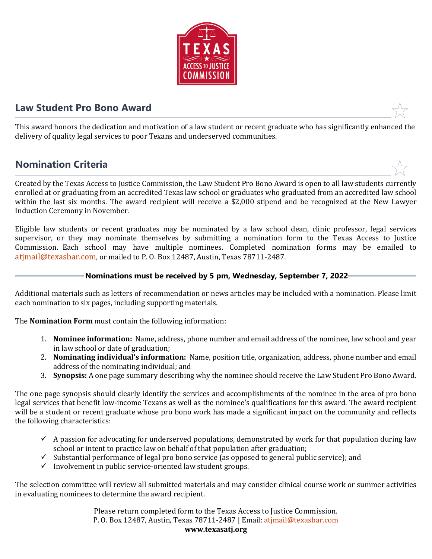

## **Law Student Pro Bono Award**

This award honors the dedication and motivation of a law student or recent graduate who has significantly enhanced the delivery of quality legal services to poor Texans and underserved communities.

# **Nomination Criteria**

Created by the Texas Access to Justice Commission, the Law Student Pro Bono Award is open to all law students currently enrolled at or graduating from an accredited Texas law school or graduates who graduated from an accredited law school within the last six months. The award recipient will receive a \$2,000 stipend and be recognized at the New Lawyer Induction Ceremony in November.

Eligible law students or recent graduates may be nominated by a law school dean, clinic professor, legal services supervisor, or they may nominate themselves by submitting a nomination form to the Texas Access to Justice Commission. Each school may have multiple nominees. Completed nomination forms may be emailed to [atjmail@texasbar.com](mailto:atjmail@texasbar.com), or mailed to P. O. Box 12487, Austin, Texas 78711-2487.

### **Nominations must be received by 5 pm, Wednesday, September 7, 2022**

Additional materials such as letters of recommendation or news articles may be included with a nomination. Please limit each nomination to six pages, including supporting materials.

The **Nomination Form** must contain the following information:

- 1. **Nominee information:** Name, address, phone number and email address of the nominee, law school and year in law school or date of graduation;
- 2. **Nominating individual's information:** Name, position title, organization, address, phone number and email address of the nominating individual; and
- 3. **Synopsis:** A one page summary describing why the nominee should receive the Law Student Pro Bono Award.

The one page synopsis should clearly identify the services and accomplishments of the nominee in the area of pro bono legal services that benefit low-income Texans as well as the nominee's qualifications for this award. The award recipient will be a student or recent graduate whose pro bono work has made a significant impact on the community and reflects the following characteristics:

- $\checkmark$  A passion for advocating for underserved populations, demonstrated by work for that population during law school or intent to practice law on behalf of that population after graduation;
- $\checkmark$  Substantial performance of legal pro bono service (as opposed to general public service); and
- $\checkmark$  Involvement in public service-oriented law student groups.

The selection committee will review all submitted materials and may consider clinical course work or summer activities in evaluating nominees to determine the award recipient.

> Please return completed form to the Texas Access to Justice Commission. P. O. Box 12487, Austin, Texas 78711-2487 | Email: atjmail@t[exasbar.com](mailto:atjmail@texasbar.com) **www.texasatj.org**